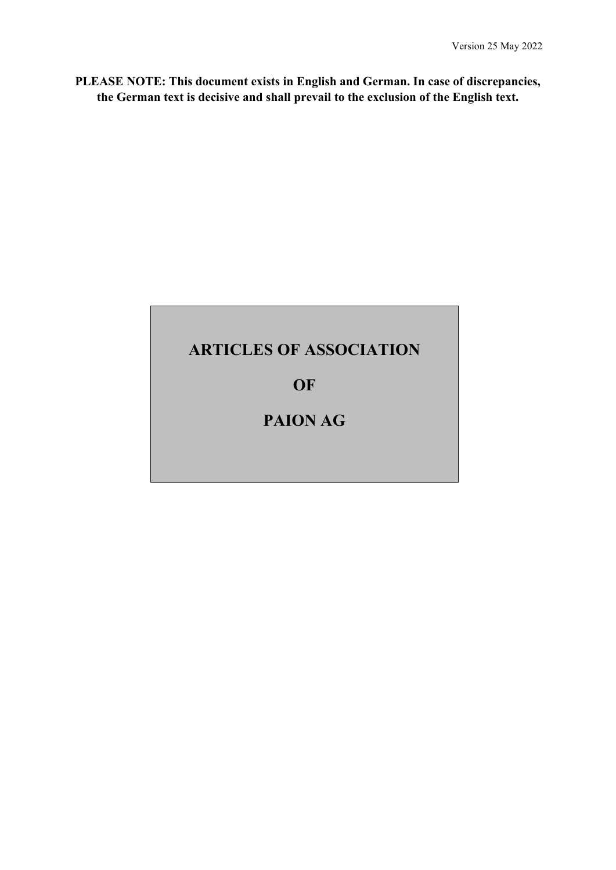**PLEASE NOTE: This document exists in English and German. In case of discrepancies, the German text is decisive and shall prevail to the exclusion of the English text.**

# **ARTICLES OF ASSOCIATION**

**OF**

# **PAION AG**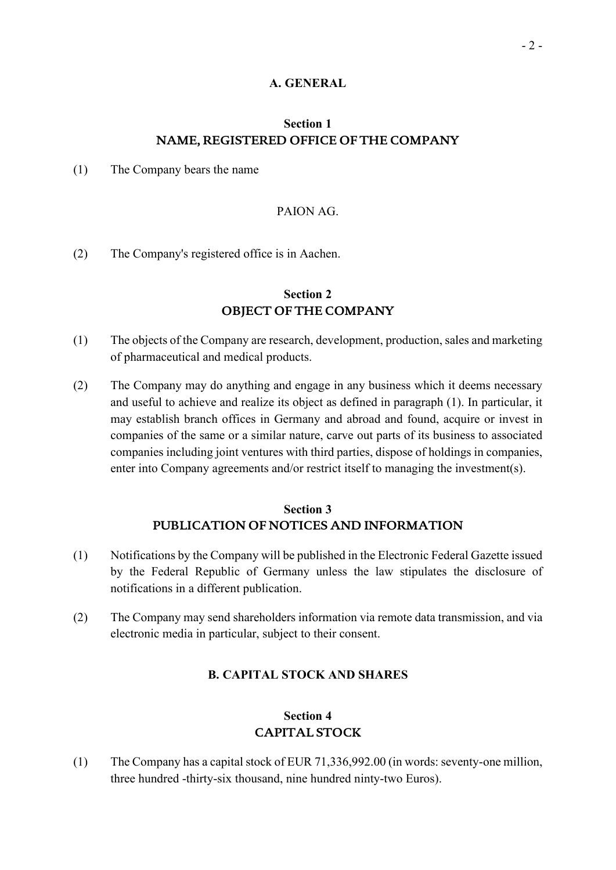### **A. GENERAL**

### **Section 1 NAME, REGISTERED OFFICE OF THE COMPANY**

(1) The Company bears the name

### PAION AG.

(2) The Company's registered office is in Aachen.

### **Section 2 OBJECT OF THE COMPANY**

- (1) The objects of the Company are research, development, production, sales and marketing of pharmaceutical and medical products.
- (2) The Company may do anything and engage in any business which it deems necessary and useful to achieve and realize its object as defined in paragraph (1). In particular, it may establish branch offices in Germany and abroad and found, acquire or invest in companies of the same or a similar nature, carve out parts of its business to associated companies including joint ventures with third parties, dispose of holdings in companies, enter into Company agreements and/or restrict itself to managing the investment(s).

### **Section 3 PUBLICATION OF NOTICES AND INFORMATION**

- (1) Notifications by the Company will be published in the Electronic Federal Gazette issued by the Federal Republic of Germany unless the law stipulates the disclosure of notifications in a different publication.
- (2) The Company may send shareholders information via remote data transmission, and via electronic media in particular, subject to their consent.

### **B. CAPITAL STOCK AND SHARES**

### **Section 4 CAPITAL STOCK**

(1) The Company has a capital stock of EUR 71,336,992.00 (in words: seventy-one million, three hundred -thirty-six thousand, nine hundred ninty-two Euros).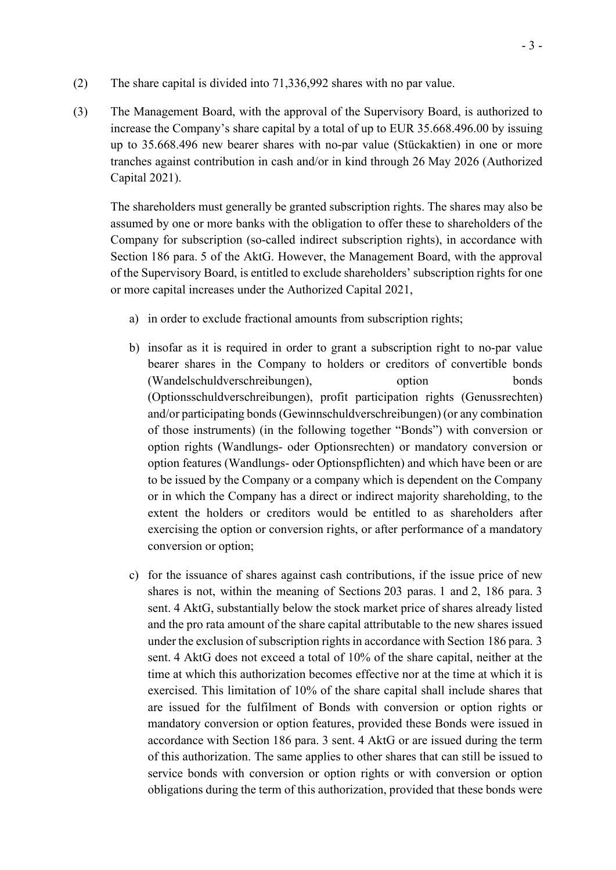- (2) The share capital is divided into 71,336,992 shares with no par value.
- (3) The Management Board, with the approval of the Supervisory Board, is authorized to increase the Company's share capital by a total of up to EUR 35.668.496.00 by issuing up to 35.668.496 new bearer shares with no-par value (Stückaktien) in one or more tranches against contribution in cash and/or in kind through 26 May 2026 (Authorized Capital 2021).

The shareholders must generally be granted subscription rights. The shares may also be assumed by one or more banks with the obligation to offer these to shareholders of the Company for subscription (so-called indirect subscription rights), in accordance with Section 186 para. 5 of the AktG. However, the Management Board, with the approval of the Supervisory Board, is entitled to exclude shareholders' subscription rights for one or more capital increases under the Authorized Capital 2021,

- a) in order to exclude fractional amounts from subscription rights;
- b) insofar as it is required in order to grant a subscription right to no-par value bearer shares in the Company to holders or creditors of convertible bonds (Wandelschuldverschreibungen), option bonds (Optionsschuldverschreibungen), profit participation rights (Genussrechten) and/or participating bonds (Gewinnschuldverschreibungen) (or any combination of those instruments) (in the following together "Bonds") with conversion or option rights (Wandlungs- oder Optionsrechten) or mandatory conversion or option features (Wandlungs- oder Optionspflichten) and which have been or are to be issued by the Company or a company which is dependent on the Company or in which the Company has a direct or indirect majority shareholding, to the extent the holders or creditors would be entitled to as shareholders after exercising the option or conversion rights, or after performance of a mandatory conversion or option;
- c) for the issuance of shares against cash contributions, if the issue price of new shares is not, within the meaning of Sections 203 paras. 1 and 2, 186 para. 3 sent. 4 AktG, substantially below the stock market price of shares already listed and the pro rata amount of the share capital attributable to the new shares issued under the exclusion of subscription rights in accordance with Section 186 para. 3 sent. 4 AktG does not exceed a total of 10% of the share capital, neither at the time at which this authorization becomes effective nor at the time at which it is exercised. This limitation of 10% of the share capital shall include shares that are issued for the fulfilment of Bonds with conversion or option rights or mandatory conversion or option features, provided these Bonds were issued in accordance with Section 186 para. 3 sent. 4 AktG or are issued during the term of this authorization. The same applies to other shares that can still be issued to service bonds with conversion or option rights or with conversion or option obligations during the term of this authorization, provided that these bonds were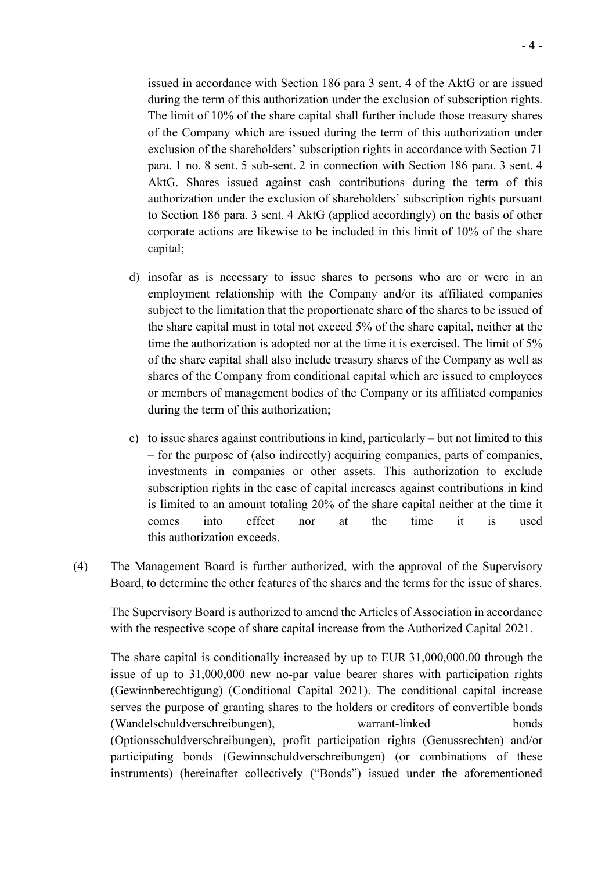issued in accordance with Section 186 para 3 sent. 4 of the AktG or are issued during the term of this authorization under the exclusion of subscription rights. The limit of 10% of the share capital shall further include those treasury shares of the Company which are issued during the term of this authorization under exclusion of the shareholders' subscription rights in accordance with Section 71 para. 1 no. 8 sent. 5 sub-sent. 2 in connection with Section 186 para. 3 sent. 4 AktG. Shares issued against cash contributions during the term of this authorization under the exclusion of shareholders' subscription rights pursuant to Section 186 para. 3 sent. 4 AktG (applied accordingly) on the basis of other corporate actions are likewise to be included in this limit of 10% of the share capital;

- d) insofar as is necessary to issue shares to persons who are or were in an employment relationship with the Company and/or its affiliated companies subject to the limitation that the proportionate share of the shares to be issued of the share capital must in total not exceed 5% of the share capital, neither at the time the authorization is adopted nor at the time it is exercised. The limit of 5% of the share capital shall also include treasury shares of the Company as well as shares of the Company from conditional capital which are issued to employees or members of management bodies of the Company or its affiliated companies during the term of this authorization;
- e) to issue shares against contributions in kind, particularly but not limited to this – for the purpose of (also indirectly) acquiring companies, parts of companies, investments in companies or other assets. This authorization to exclude subscription rights in the case of capital increases against contributions in kind is limited to an amount totaling 20% of the share capital neither at the time it comes into effect nor at the time it is used this authorization exceeds.
- (4) The Management Board is further authorized, with the approval of the Supervisory Board, to determine the other features of the shares and the terms for the issue of shares.

The Supervisory Board is authorized to amend the Articles of Association in accordance with the respective scope of share capital increase from the Authorized Capital 2021.

The share capital is conditionally increased by up to EUR 31,000,000.00 through the issue of up to 31,000,000 new no-par value bearer shares with participation rights (Gewinnberechtigung) (Conditional Capital 2021). The conditional capital increase serves the purpose of granting shares to the holders or creditors of convertible bonds (Wandelschuldverschreibungen), warrant-linked bonds (Optionsschuldverschreibungen), profit participation rights (Genussrechten) and/or participating bonds (Gewinnschuldverschreibungen) (or combinations of these instruments) (hereinafter collectively ("Bonds") issued under the aforementioned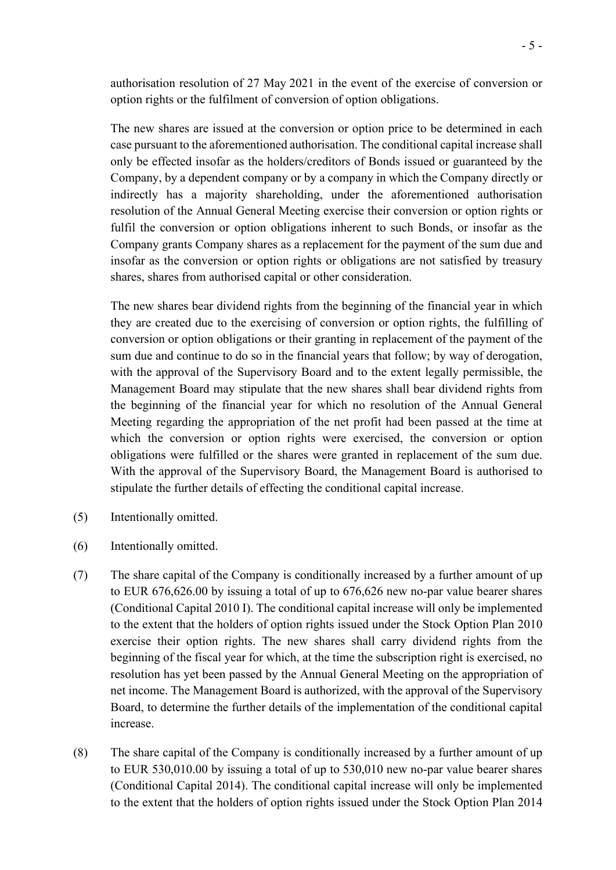authorisation resolution of 27 May 2021 in the event of the exercise of conversion or option rights or the fulfilment of conversion of option obligations.

The new shares are issued at the conversion or option price to be determined in each case pursuant to the aforementioned authorisation. The conditional capital increase shall only be effected insofar as the holders/creditors of Bonds issued or guaranteed by the Company, by a dependent company or by a company in which the Company directly or indirectly has a majority shareholding, under the aforementioned authorisation resolution of the Annual General Meeting exercise their conversion or option rights or fulfil the conversion or option obligations inherent to such Bonds, or insofar as the Company grants Company shares as a replacement for the payment of the sum due and insofar as the conversion or option rights or obligations are not satisfied by treasury shares, shares from authorised capital or other consideration.

The new shares bear dividend rights from the beginning of the financial year in which they are created due to the exercising of conversion or option rights, the fulfilling of conversion or option obligations or their granting in replacement of the payment of the sum due and continue to do so in the financial years that follow; by way of derogation, with the approval of the Supervisory Board and to the extent legally permissible, the Management Board may stipulate that the new shares shall bear dividend rights from the beginning of the financial year for which no resolution of the Annual General Meeting regarding the appropriation of the net profit had been passed at the time at which the conversion or option rights were exercised, the conversion or option obligations were fulfilled or the shares were granted in replacement of the sum due. With the approval of the Supervisory Board, the Management Board is authorised to stipulate the further details of effecting the conditional capital increase.

- (5) Intentionally omitted.
- (6) Intentionally omitted.
- (7) The share capital of the Company is conditionally increased by a further amount of up to EUR 676,626.00 by issuing a total of up to 676,626 new no-par value bearer shares (Conditional Capital 2010 I). The conditional capital increase will only be implemented to the extent that the holders of option rights issued under the Stock Option Plan 2010 exercise their option rights. The new shares shall carry dividend rights from the beginning of the fiscal year for which, at the time the subscription right is exercised, no resolution has yet been passed by the Annual General Meeting on the appropriation of net income. The Management Board is authorized, with the approval of the Supervisory Board, to determine the further details of the implementation of the conditional capital increase.
- (8) The share capital of the Company is conditionally increased by a further amount of up to EUR 530,010.00 by issuing a total of up to 530,010 new no-par value bearer shares (Conditional Capital 2014). The conditional capital increase will only be implemented to the extent that the holders of option rights issued under the Stock Option Plan 2014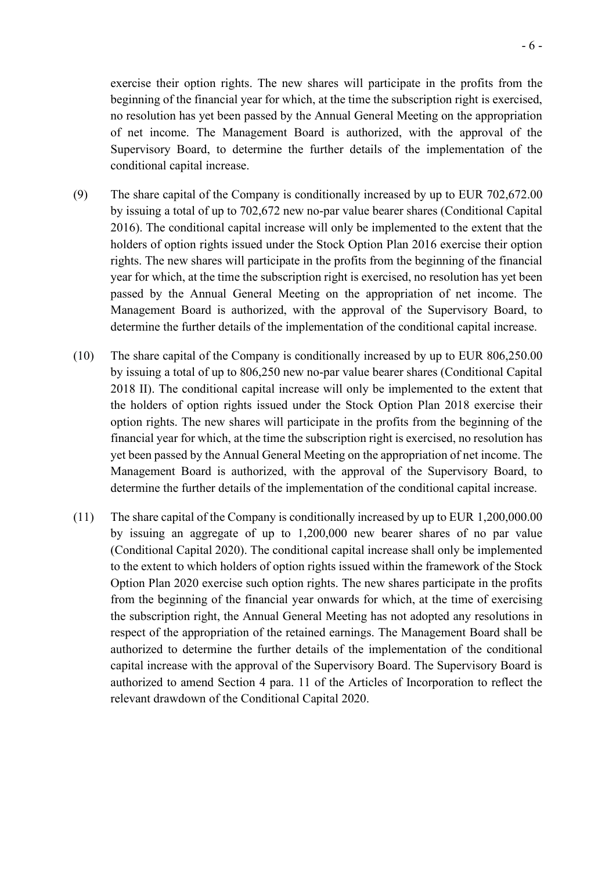exercise their option rights. The new shares will participate in the profits from the beginning of the financial year for which, at the time the subscription right is exercised, no resolution has yet been passed by the Annual General Meeting on the appropriation of net income. The Management Board is authorized, with the approval of the Supervisory Board, to determine the further details of the implementation of the conditional capital increase.

- (9) The share capital of the Company is conditionally increased by up to EUR 702,672.00 by issuing a total of up to 702,672 new no-par value bearer shares (Conditional Capital 2016). The conditional capital increase will only be implemented to the extent that the holders of option rights issued under the Stock Option Plan 2016 exercise their option rights. The new shares will participate in the profits from the beginning of the financial year for which, at the time the subscription right is exercised, no resolution has yet been passed by the Annual General Meeting on the appropriation of net income. The Management Board is authorized, with the approval of the Supervisory Board, to determine the further details of the implementation of the conditional capital increase.
- (10) The share capital of the Company is conditionally increased by up to EUR 806,250.00 by issuing a total of up to 806,250 new no-par value bearer shares (Conditional Capital 2018 II). The conditional capital increase will only be implemented to the extent that the holders of option rights issued under the Stock Option Plan 2018 exercise their option rights. The new shares will participate in the profits from the beginning of the financial year for which, at the time the subscription right is exercised, no resolution has yet been passed by the Annual General Meeting on the appropriation of net income. The Management Board is authorized, with the approval of the Supervisory Board, to determine the further details of the implementation of the conditional capital increase.
- (11) The share capital of the Company is conditionally increased by up to EUR 1,200,000.00 by issuing an aggregate of up to 1,200,000 new bearer shares of no par value (Conditional Capital 2020). The conditional capital increase shall only be implemented to the extent to which holders of option rights issued within the framework of the Stock Option Plan 2020 exercise such option rights. The new shares participate in the profits from the beginning of the financial year onwards for which, at the time of exercising the subscription right, the Annual General Meeting has not adopted any resolutions in respect of the appropriation of the retained earnings. The Management Board shall be authorized to determine the further details of the implementation of the conditional capital increase with the approval of the Supervisory Board. The Supervisory Board is authorized to amend Section 4 para. 11 of the Articles of Incorporation to reflect the relevant drawdown of the Conditional Capital 2020.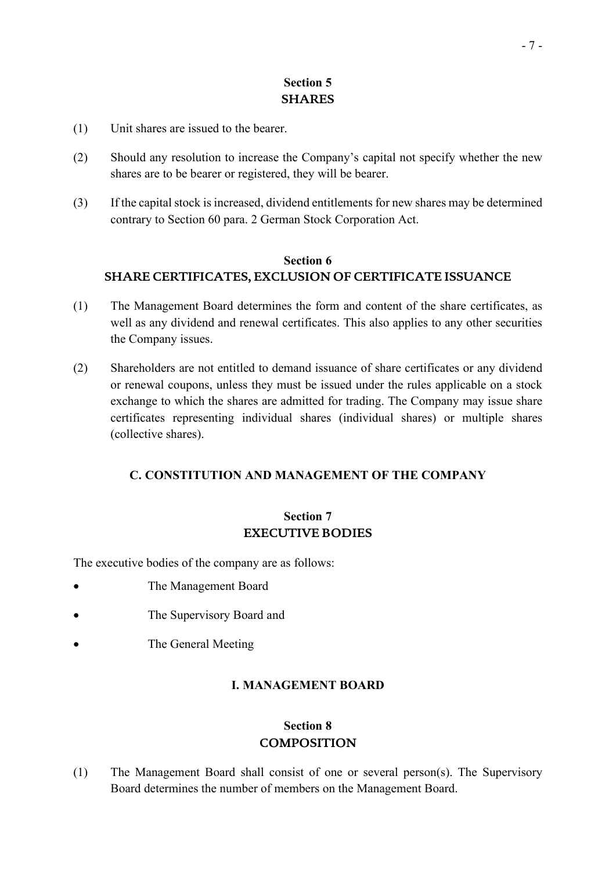### - 7 -

# **Section 5 SHARES**

- (1) Unit shares are issued to the bearer.
- (2) Should any resolution to increase the Company's capital not specify whether the new shares are to be bearer or registered, they will be bearer.
- (3) If the capital stock is increased, dividend entitlements for new shares may be determined contrary to Section 60 para. 2 German Stock Corporation Act.

### **Section 6 SHARE CERTIFICATES, EXCLUSION OF CERTIFICATE ISSUANCE**

- (1) The Management Board determines the form and content of the share certificates, as well as any dividend and renewal certificates. This also applies to any other securities the Company issues.
- (2) Shareholders are not entitled to demand issuance of share certificates or any dividend or renewal coupons, unless they must be issued under the rules applicable on a stock exchange to which the shares are admitted for trading. The Company may issue share certificates representing individual shares (individual shares) or multiple shares (collective shares).

### **C. CONSTITUTION AND MANAGEMENT OF THE COMPANY**

# **Section 7 EXECUTIVE BODIES**

The executive bodies of the company are as follows:

- The Management Board
- The Supervisory Board and
- The General Meeting

# **I. MANAGEMENT BOARD**

# **Section 8 COMPOSITION**

(1) The Management Board shall consist of one or several person(s). The Supervisory Board determines the number of members on the Management Board.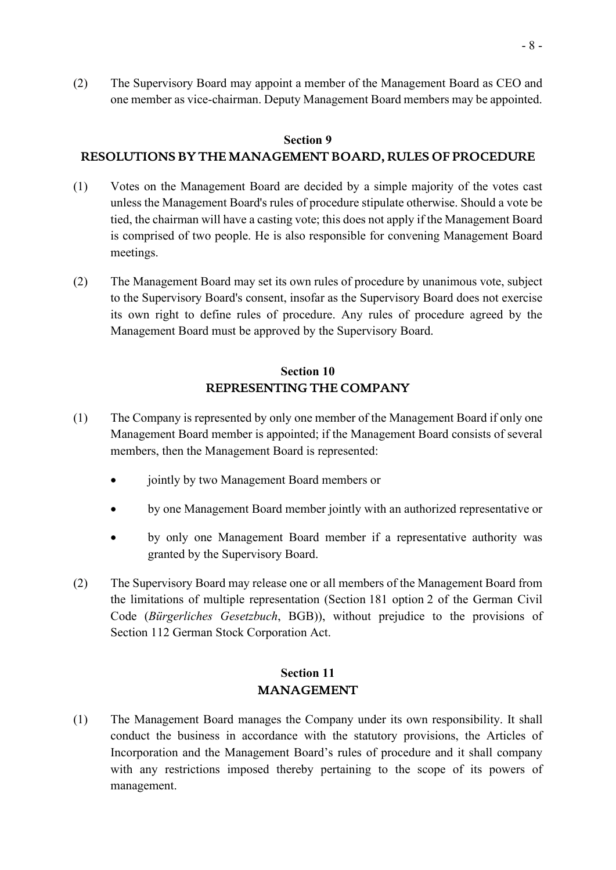(2) The Supervisory Board may appoint a member of the Management Board as CEO and one member as vice-chairman. Deputy Management Board members may be appointed.

#### **Section 9**

### **RESOLUTIONS BY THE MANAGEMENT BOARD, RULES OF PROCEDURE**

- (1) Votes on the Management Board are decided by a simple majority of the votes cast unless the Management Board's rules of procedure stipulate otherwise. Should a vote be tied, the chairman will have a casting vote; this does not apply if the Management Board is comprised of two people. He is also responsible for convening Management Board meetings.
- (2) The Management Board may set its own rules of procedure by unanimous vote, subject to the Supervisory Board's consent, insofar as the Supervisory Board does not exercise its own right to define rules of procedure. Any rules of procedure agreed by the Management Board must be approved by the Supervisory Board.

## **Section 10 REPRESENTING THE COMPANY**

- (1) The Company is represented by only one member of the Management Board if only one Management Board member is appointed; if the Management Board consists of several members, then the Management Board is represented:
	- jointly by two Management Board members or
	- by one Management Board member jointly with an authorized representative or
	- by only one Management Board member if a representative authority was granted by the Supervisory Board.
- (2) The Supervisory Board may release one or all members of the Management Board from the limitations of multiple representation (Section 181 option 2 of the German Civil Code (*Bürgerliches Gesetzbuch*, BGB)), without prejudice to the provisions of Section 112 German Stock Corporation Act.

### **Section 11 MANAGEMENT**

(1) The Management Board manages the Company under its own responsibility. It shall conduct the business in accordance with the statutory provisions, the Articles of Incorporation and the Management Board's rules of procedure and it shall company with any restrictions imposed thereby pertaining to the scope of its powers of management.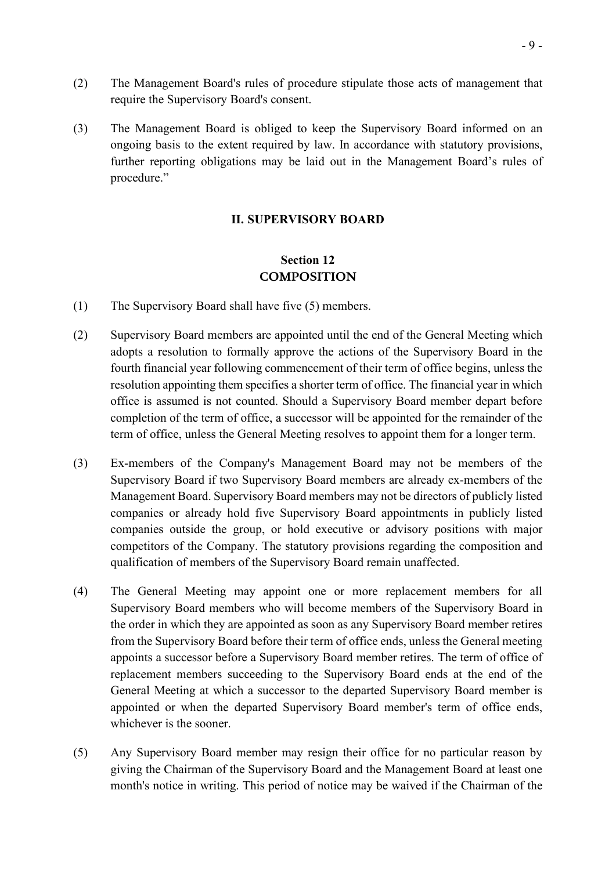- (2) The Management Board's rules of procedure stipulate those acts of management that require the Supervisory Board's consent.
- (3) The Management Board is obliged to keep the Supervisory Board informed on an ongoing basis to the extent required by law. In accordance with statutory provisions, further reporting obligations may be laid out in the Management Board's rules of procedure."

### **II. SUPERVISORY BOARD**

# **Section 12 COMPOSITION**

- (1) The Supervisory Board shall have five (5) members.
- (2) Supervisory Board members are appointed until the end of the General Meeting which adopts a resolution to formally approve the actions of the Supervisory Board in the fourth financial year following commencement of their term of office begins, unless the resolution appointing them specifies a shorter term of office. The financial year in which office is assumed is not counted. Should a Supervisory Board member depart before completion of the term of office, a successor will be appointed for the remainder of the term of office, unless the General Meeting resolves to appoint them for a longer term.
- (3) Ex-members of the Company's Management Board may not be members of the Supervisory Board if two Supervisory Board members are already ex-members of the Management Board. Supervisory Board members may not be directors of publicly listed companies or already hold five Supervisory Board appointments in publicly listed companies outside the group, or hold executive or advisory positions with major competitors of the Company. The statutory provisions regarding the composition and qualification of members of the Supervisory Board remain unaffected.
- (4) The General Meeting may appoint one or more replacement members for all Supervisory Board members who will become members of the Supervisory Board in the order in which they are appointed as soon as any Supervisory Board member retires from the Supervisory Board before their term of office ends, unless the General meeting appoints a successor before a Supervisory Board member retires. The term of office of replacement members succeeding to the Supervisory Board ends at the end of the General Meeting at which a successor to the departed Supervisory Board member is appointed or when the departed Supervisory Board member's term of office ends, whichever is the sooner.
- (5) Any Supervisory Board member may resign their office for no particular reason by giving the Chairman of the Supervisory Board and the Management Board at least one month's notice in writing. This period of notice may be waived if the Chairman of the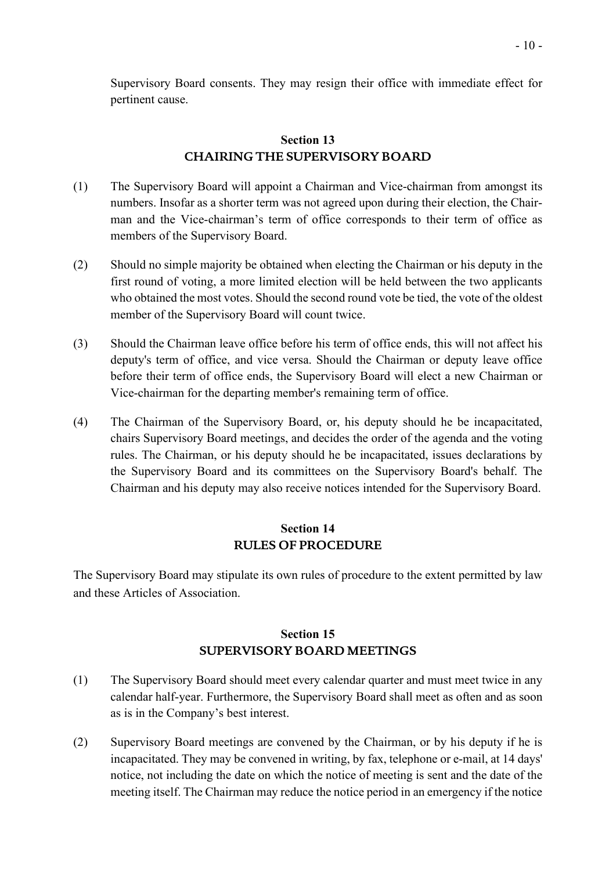Supervisory Board consents. They may resign their office with immediate effect for pertinent cause.

### **Section 13 CHAIRING THE SUPERVISORY BOARD**

- (1) The Supervisory Board will appoint a Chairman and Vice-chairman from amongst its numbers. Insofar as a shorter term was not agreed upon during their election, the Chairman and the Vice-chairman's term of office corresponds to their term of office as members of the Supervisory Board.
- (2) Should no simple majority be obtained when electing the Chairman or his deputy in the first round of voting, a more limited election will be held between the two applicants who obtained the most votes. Should the second round vote be tied, the vote of the oldest member of the Supervisory Board will count twice.
- (3) Should the Chairman leave office before his term of office ends, this will not affect his deputy's term of office, and vice versa. Should the Chairman or deputy leave office before their term of office ends, the Supervisory Board will elect a new Chairman or Vice-chairman for the departing member's remaining term of office.
- (4) The Chairman of the Supervisory Board, or, his deputy should he be incapacitated, chairs Supervisory Board meetings, and decides the order of the agenda and the voting rules. The Chairman, or his deputy should he be incapacitated, issues declarations by the Supervisory Board and its committees on the Supervisory Board's behalf. The Chairman and his deputy may also receive notices intended for the Supervisory Board.

### **Section 14 RULES OF PROCEDURE**

The Supervisory Board may stipulate its own rules of procedure to the extent permitted by law and these Articles of Association.

# **Section 15 SUPERVISORY BOARD MEETINGS**

- (1) The Supervisory Board should meet every calendar quarter and must meet twice in any calendar half-year. Furthermore, the Supervisory Board shall meet as often and as soon as is in the Company's best interest.
- (2) Supervisory Board meetings are convened by the Chairman, or by his deputy if he is incapacitated. They may be convened in writing, by fax, telephone or e-mail, at 14 days' notice, not including the date on which the notice of meeting is sent and the date of the meeting itself. The Chairman may reduce the notice period in an emergency if the notice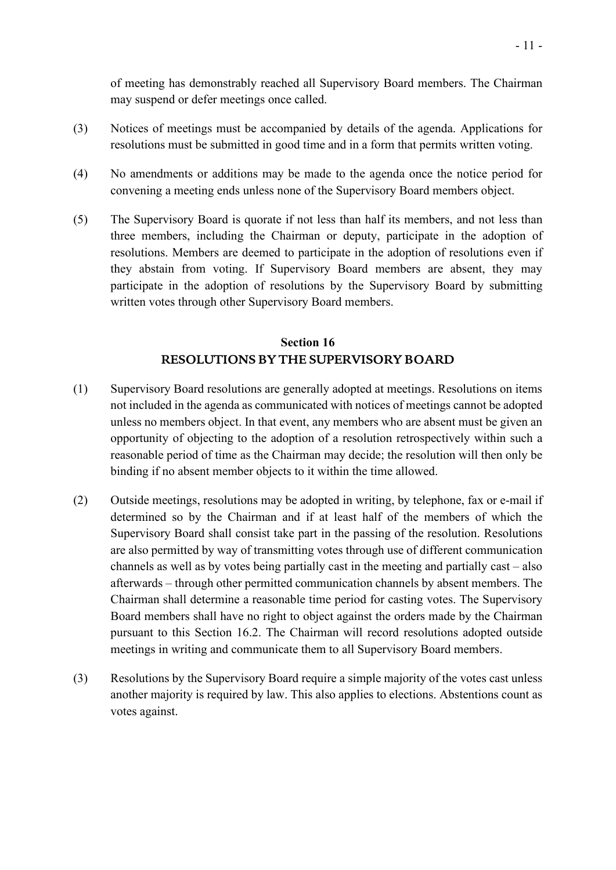of meeting has demonstrably reached all Supervisory Board members. The Chairman may suspend or defer meetings once called.

- (3) Notices of meetings must be accompanied by details of the agenda. Applications for resolutions must be submitted in good time and in a form that permits written voting.
- (4) No amendments or additions may be made to the agenda once the notice period for convening a meeting ends unless none of the Supervisory Board members object.
- (5) The Supervisory Board is quorate if not less than half its members, and not less than three members, including the Chairman or deputy, participate in the adoption of resolutions. Members are deemed to participate in the adoption of resolutions even if they abstain from voting. If Supervisory Board members are absent, they may participate in the adoption of resolutions by the Supervisory Board by submitting written votes through other Supervisory Board members.

## **Section 16 RESOLUTIONS BY THE SUPERVISORY BOARD**

- (1) Supervisory Board resolutions are generally adopted at meetings. Resolutions on items not included in the agenda as communicated with notices of meetings cannot be adopted unless no members object. In that event, any members who are absent must be given an opportunity of objecting to the adoption of a resolution retrospectively within such a reasonable period of time as the Chairman may decide; the resolution will then only be binding if no absent member objects to it within the time allowed.
- (2) Outside meetings, resolutions may be adopted in writing, by telephone, fax or e-mail if determined so by the Chairman and if at least half of the members of which the Supervisory Board shall consist take part in the passing of the resolution. Resolutions are also permitted by way of transmitting votes through use of different communication channels as well as by votes being partially cast in the meeting and partially cast – also afterwards – through other permitted communication channels by absent members. The Chairman shall determine a reasonable time period for casting votes. The Supervisory Board members shall have no right to object against the orders made by the Chairman pursuant to this Section 16.2. The Chairman will record resolutions adopted outside meetings in writing and communicate them to all Supervisory Board members.
- (3) Resolutions by the Supervisory Board require a simple majority of the votes cast unless another majority is required by law. This also applies to elections. Abstentions count as votes against.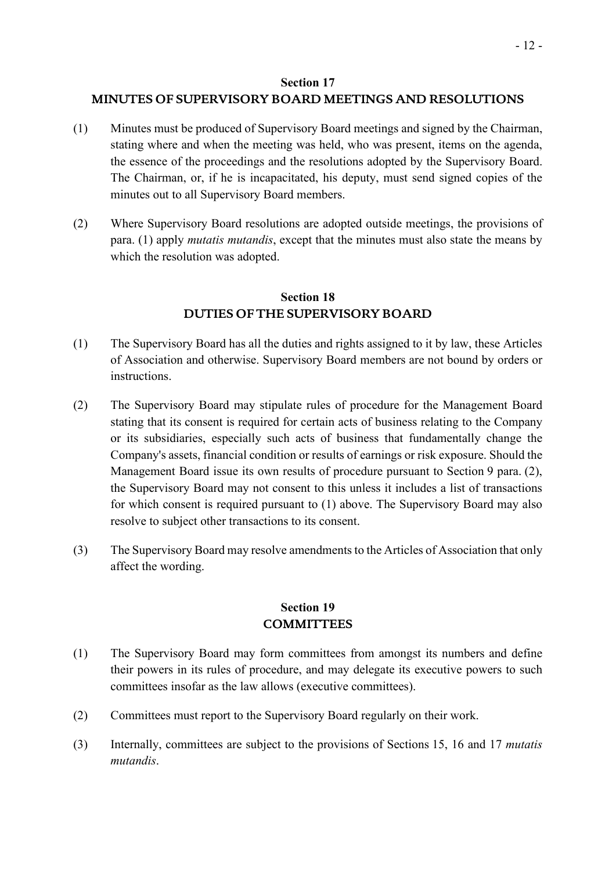### **Section 17**

# **MINUTES OF SUPERVISORY BOARD MEETINGS AND RESOLUTIONS**

- (1) Minutes must be produced of Supervisory Board meetings and signed by the Chairman, stating where and when the meeting was held, who was present, items on the agenda, the essence of the proceedings and the resolutions adopted by the Supervisory Board. The Chairman, or, if he is incapacitated, his deputy, must send signed copies of the minutes out to all Supervisory Board members.
- (2) Where Supervisory Board resolutions are adopted outside meetings, the provisions of para. (1) apply *mutatis mutandis*, except that the minutes must also state the means by which the resolution was adopted.

## **Section 18 DUTIES OF THE SUPERVISORY BOARD**

- (1) The Supervisory Board has all the duties and rights assigned to it by law, these Articles of Association and otherwise. Supervisory Board members are not bound by orders or instructions.
- (2) The Supervisory Board may stipulate rules of procedure for the Management Board stating that its consent is required for certain acts of business relating to the Company or its subsidiaries, especially such acts of business that fundamentally change the Company's assets, financial condition or results of earnings or risk exposure. Should the Management Board issue its own results of procedure pursuant to Section 9 para. (2), the Supervisory Board may not consent to this unless it includes a list of transactions for which consent is required pursuant to (1) above. The Supervisory Board may also resolve to subject other transactions to its consent.
- (3) The Supervisory Board may resolve amendments to the Articles of Association that only affect the wording.

### **Section 19 COMMITTEES**

- (1) The Supervisory Board may form committees from amongst its numbers and define their powers in its rules of procedure, and may delegate its executive powers to such committees insofar as the law allows (executive committees).
- (2) Committees must report to the Supervisory Board regularly on their work.
- (3) Internally, committees are subject to the provisions of Sections 15, 16 and 17 *mutatis mutandis*.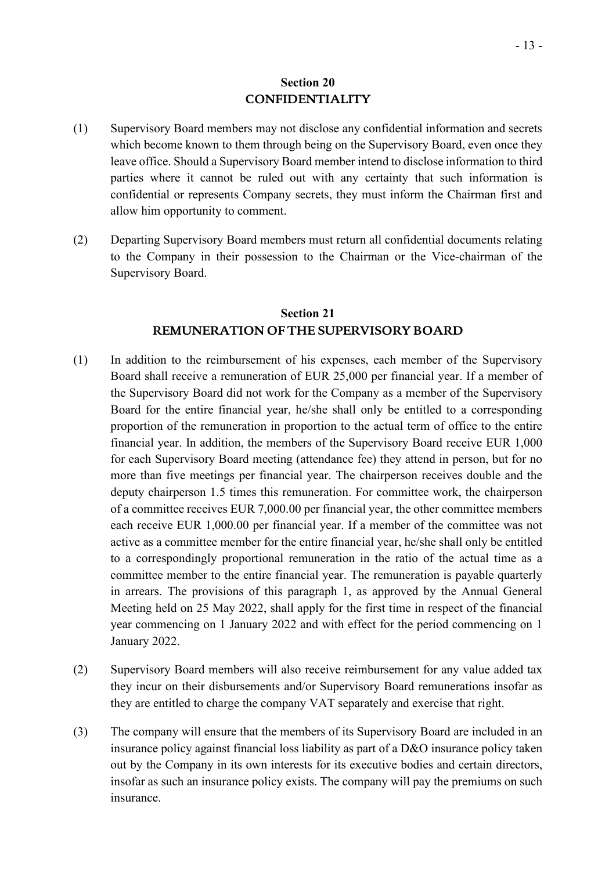### **Section 20 CONFIDENTIALITY**

- (1) Supervisory Board members may not disclose any confidential information and secrets which become known to them through being on the Supervisory Board, even once they leave office. Should a Supervisory Board member intend to disclose information to third parties where it cannot be ruled out with any certainty that such information is confidential or represents Company secrets, they must inform the Chairman first and allow him opportunity to comment.
- (2) Departing Supervisory Board members must return all confidential documents relating to the Company in their possession to the Chairman or the Vice-chairman of the Supervisory Board.

### **Section 21 REMUNERATION OF THE SUPERVISORY BOARD**

- (1) In addition to the reimbursement of his expenses, each member of the Supervisory Board shall receive a remuneration of EUR 25,000 per financial year. If a member of the Supervisory Board did not work for the Company as a member of the Supervisory Board for the entire financial year, he/she shall only be entitled to a corresponding proportion of the remuneration in proportion to the actual term of office to the entire financial year. In addition, the members of the Supervisory Board receive EUR 1,000 for each Supervisory Board meeting (attendance fee) they attend in person, but for no more than five meetings per financial year. The chairperson receives double and the deputy chairperson 1.5 times this remuneration. For committee work, the chairperson of a committee receives EUR 7,000.00 per financial year, the other committee members each receive EUR 1,000.00 per financial year. If a member of the committee was not active as a committee member for the entire financial year, he/she shall only be entitled to a correspondingly proportional remuneration in the ratio of the actual time as a committee member to the entire financial year. The remuneration is payable quarterly in arrears. The provisions of this paragraph 1, as approved by the Annual General Meeting held on 25 May 2022, shall apply for the first time in respect of the financial year commencing on 1 January 2022 and with effect for the period commencing on 1 January 2022.
- (2) Supervisory Board members will also receive reimbursement for any value added tax they incur on their disbursements and/or Supervisory Board remunerations insofar as they are entitled to charge the company VAT separately and exercise that right.
- (3) The company will ensure that the members of its Supervisory Board are included in an insurance policy against financial loss liability as part of a D&O insurance policy taken out by the Company in its own interests for its executive bodies and certain directors, insofar as such an insurance policy exists. The company will pay the premiums on such insurance.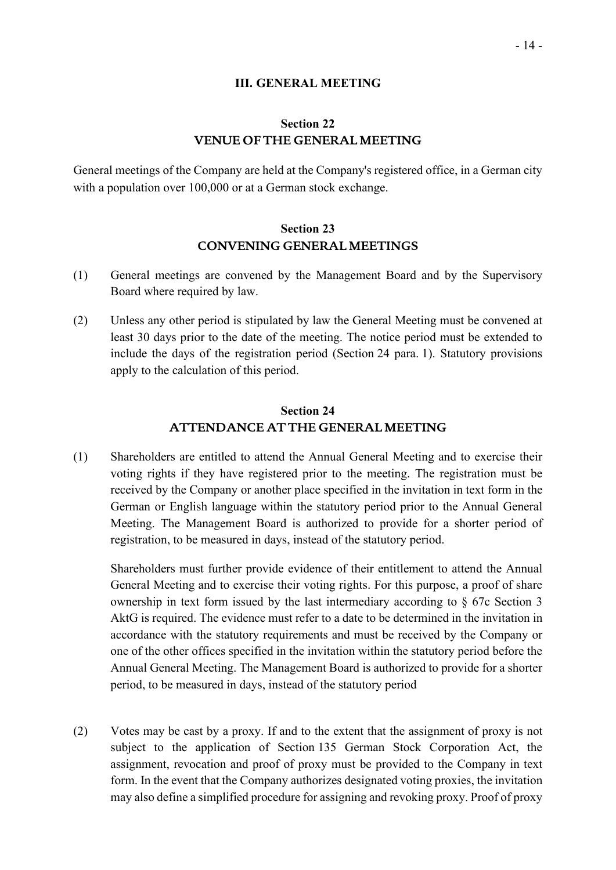#### **III. GENERAL MEETING**

### **Section 22 VENUE OF THE GENERAL MEETING**

General meetings of the Company are held at the Company's registered office, in a German city with a population over 100,000 or at a German stock exchange.

### **Section 23 CONVENING GENERAL MEETINGS**

- (1) General meetings are convened by the Management Board and by the Supervisory Board where required by law.
- (2) Unless any other period is stipulated by law the General Meeting must be convened at least 30 days prior to the date of the meeting. The notice period must be extended to include the days of the registration period (Section 24 para. 1). Statutory provisions apply to the calculation of this period.

### **Section 24 ATTENDANCE AT THE GENERAL MEETING**

(1) Shareholders are entitled to attend the Annual General Meeting and to exercise their voting rights if they have registered prior to the meeting. The registration must be received by the Company or another place specified in the invitation in text form in the German or English language within the statutory period prior to the Annual General Meeting. The Management Board is authorized to provide for a shorter period of registration, to be measured in days, instead of the statutory period.

Shareholders must further provide evidence of their entitlement to attend the Annual General Meeting and to exercise their voting rights. For this purpose, a proof of share ownership in text form issued by the last intermediary according to § 67c Section 3 AktG is required. The evidence must refer to a date to be determined in the invitation in accordance with the statutory requirements and must be received by the Company or one of the other offices specified in the invitation within the statutory period before the Annual General Meeting. The Management Board is authorized to provide for a shorter period, to be measured in days, instead of the statutory period

(2) Votes may be cast by a proxy. If and to the extent that the assignment of proxy is not subject to the application of Section 135 German Stock Corporation Act, the assignment, revocation and proof of proxy must be provided to the Company in text form. In the event that the Company authorizes designated voting proxies, the invitation may also define a simplified procedure for assigning and revoking proxy. Proof of proxy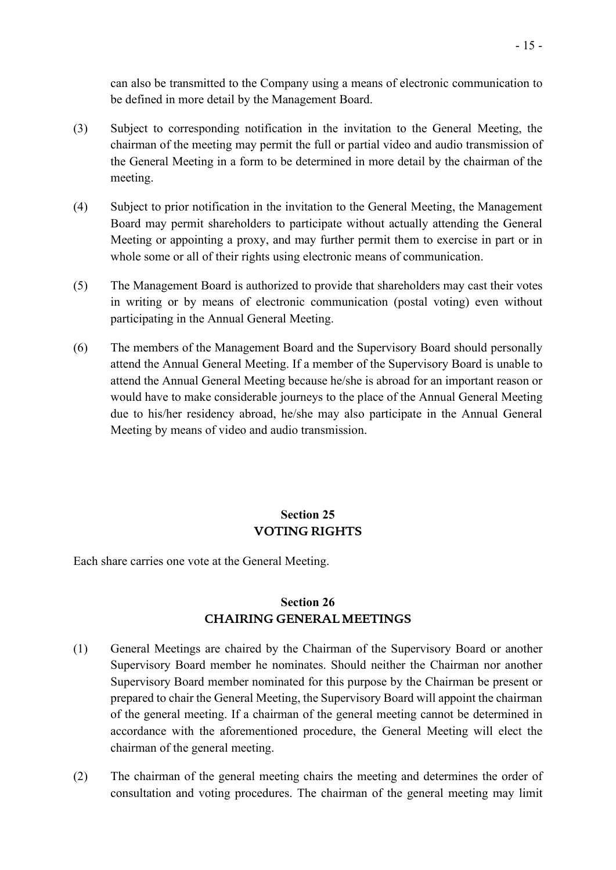can also be transmitted to the Company using a means of electronic communication to be defined in more detail by the Management Board.

- (3) Subject to corresponding notification in the invitation to the General Meeting, the chairman of the meeting may permit the full or partial video and audio transmission of the General Meeting in a form to be determined in more detail by the chairman of the meeting.
- (4) Subject to prior notification in the invitation to the General Meeting, the Management Board may permit shareholders to participate without actually attending the General Meeting or appointing a proxy, and may further permit them to exercise in part or in whole some or all of their rights using electronic means of communication.
- (5) The Management Board is authorized to provide that shareholders may cast their votes in writing or by means of electronic communication (postal voting) even without participating in the Annual General Meeting.
- (6) The members of the Management Board and the Supervisory Board should personally attend the Annual General Meeting. If a member of the Supervisory Board is unable to attend the Annual General Meeting because he/she is abroad for an important reason or would have to make considerable journeys to the place of the Annual General Meeting due to his/her residency abroad, he/she may also participate in the Annual General Meeting by means of video and audio transmission.

# **Section 25 VOTING RIGHTS**

Each share carries one vote at the General Meeting.

## **Section 26 CHAIRING GENERAL MEETINGS**

- (1) General Meetings are chaired by the Chairman of the Supervisory Board or another Supervisory Board member he nominates. Should neither the Chairman nor another Supervisory Board member nominated for this purpose by the Chairman be present or prepared to chair the General Meeting, the Supervisory Board will appoint the chairman of the general meeting. If a chairman of the general meeting cannot be determined in accordance with the aforementioned procedure, the General Meeting will elect the chairman of the general meeting.
- (2) The chairman of the general meeting chairs the meeting and determines the order of consultation and voting procedures. The chairman of the general meeting may limit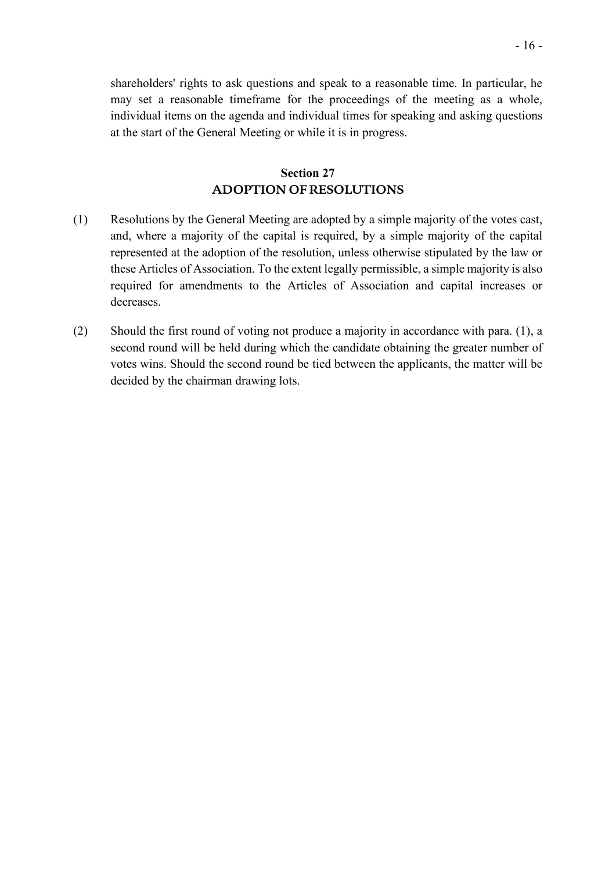shareholders' rights to ask questions and speak to a reasonable time. In particular, he may set a reasonable timeframe for the proceedings of the meeting as a whole, individual items on the agenda and individual times for speaking and asking questions at the start of the General Meeting or while it is in progress.

### **Section 27 ADOPTION OF RESOLUTIONS**

- (1) Resolutions by the General Meeting are adopted by a simple majority of the votes cast, and, where a majority of the capital is required, by a simple majority of the capital represented at the adoption of the resolution, unless otherwise stipulated by the law or these Articles of Association. To the extent legally permissible, a simple majority is also required for amendments to the Articles of Association and capital increases or decreases.
- (2) Should the first round of voting not produce a majority in accordance with para. (1), a second round will be held during which the candidate obtaining the greater number of votes wins. Should the second round be tied between the applicants, the matter will be decided by the chairman drawing lots.